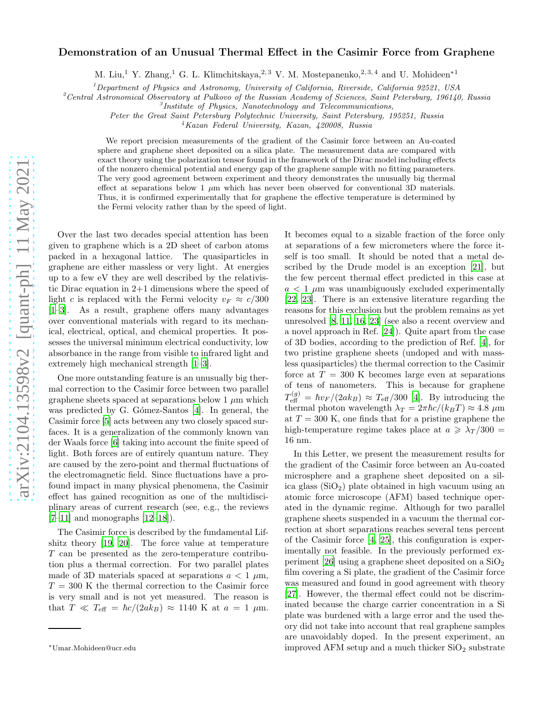## Demonstration of an Unusual Thermal Effect in the Casimir Force from Graphene

M. Liu,<sup>1</sup> Y. Zhang,<sup>1</sup> G. L. Klimchitskaya,<sup>2,3</sup> V. M. Mostepanenko,<sup>2,3,4</sup> and U. Mohideen<sup>\*1</sup>

 $<sup>1</sup> Department of Physics and Astronomy, University of California, Rivera, California, 92521, USA$ </sup>

<sup>2</sup> Central Astronomical Observatory at Pulkovo of the Russian Academy of Sciences, Saint Petersburg, 196140, Russia

Peter the Great Saint Petersburg Polytechnic University, Saint Petersburg, 195251, Russia

<sup>4</sup>Kazan Federal University, Kazan, 420008, Russia

We report precision measurements of the gradient of the Casimir force between an Au-coated sphere and graphene sheet deposited on a silica plate. The measurement data are compared with exact theory using the polarization tensor found in the framework of the Dirac model including effects of the nonzero chemical potential and energy gap of the graphene sample with no fitting parameters. The very good agreement between experiment and theory demonstrates the unusually big thermal effect at separations below 1  $\mu$ m which has never been observed for conventional 3D materials. Thus, it is confirmed experimentally that for graphene the effective temperature is determined by the Fermi velocity rather than by the speed of light.

Over the last two decades special attention has been given to graphene which is a 2D sheet of carbon atoms packed in a hexagonal lattice. The quasiparticles in graphene are either massless or very light. At energies up to a few eV they are well described by the relativistic Dirac equation in 2+1 dimensions where the speed of light c is replaced with the Fermi velocity  $v_F \approx c/300$ [\[1](#page-4-0)[–3\]](#page-4-1). As a result, graphene offers many advantages over conventional materials with regard to its mechanical, electrical, optical, and chemical properties. It possesses the universal minimum electrical conductivity, low absorbance in the range from visible to infrared light and extremely high mechanical strength [\[1](#page-4-0)[–3\]](#page-4-1).

One more outstanding feature is an unusually big thermal correction to the Casimir force between two parallel graphene sheets spaced at separations below 1  $\mu$ m which was predicted by G. Gómez-Santos [\[4\]](#page-4-2). In general, the Casimir force [\[5](#page-4-3)] acts between any two closely spaced surfaces. It is a generalization of the commonly known van der Waals force [\[6\]](#page-4-4) taking into account the finite speed of light. Both forces are of entirely quantum nature. They are caused by the zero-point and thermal fluctuations of the electromagnetic field. Since fluctuations have a profound impact in many physical phenomena, the Casimir effect has gained recognition as one of the multidisciplinary areas of current research (see, e.g., the reviews  $[7-11]$  $[7-11]$  and monographs  $[12-18]$ .

The Casimir force is described by the fundamental Lifshitz theory [\[19,](#page-5-1) [20\]](#page-5-2). The force value at temperature T can be presented as the zero-temperature contribution plus a thermal correction. For two parallel plates made of 3D materials spaced at separations  $a < 1 \mu m$ ,  $T = 300$  K the thermal correction to the Casimir force is very small and is not yet measured. The reason is that  $T \ll T_{\text{eff}} = \hbar c/(2ak_B) \approx 1140 \text{ K}$  at  $a = 1 \text{ }\mu\text{m}$ .

It becomes equal to a sizable fraction of the force only at separations of a few micrometers where the force itself is too small. It should be noted that a metal described by the Drude model is an exception [\[21](#page-5-3)], but the few percent thermal effect predicted in this case at  $a < 1 \mu m$  was unambiguously excluded experimentally [\[22,](#page-5-4) [23\]](#page-5-5). There is an extensive literature regarding the reasons for this exclusion but the problem remains as yet unresolved [\[8](#page-4-8), [11,](#page-4-6) [16,](#page-5-6) [23\]](#page-5-5) (see also a recent overview and a novel approach in Ref. [\[24](#page-5-7)]). Quite apart from the case of 3D bodies, according to the prediction of Ref. [\[4](#page-4-2)], for two pristine graphene sheets (undoped and with massless quasiparticles) the thermal correction to the Casimir force at  $T = 300$  K becomes large even at separations of tens of nanometers. This is because for graphene  $T_{\text{eff}}^{(g)} = \hbar v_F / (2ak_B) \approx T_{\text{eff}} / 300$  [\[4\]](#page-4-2). By introducing the thermal photon wavelength  $\lambda_T = 2\pi \hbar c/(k_B T) \approx 4.8 \ \mu \text{m}$ at  $T = 300$  K, one finds that for a pristine graphene the high-temperature regime takes place at  $a \geq \lambda_T/300$ 16 nm.

In this Letter, we present the measurement results for the gradient of the Casimir force between an Au-coated microsphere and a graphene sheet deposited on a silica glass  $(SiO<sub>2</sub>)$  plate obtained in high vacuum using an atomic force microscope (AFM) based technique operated in the dynamic regime. Although for two parallel graphene sheets suspended in a vacuum the thermal correction at short separations reaches several tens percent of the Casimir force [\[4,](#page-4-2) [25\]](#page-5-8), this configuration is experimentally not feasible. In the previously performed ex-periment [\[26](#page-5-9)] using a graphene sheet deposited on a  $SiO<sub>2</sub>$ film covering a Si plate, the gradient of the Casimir force was measured and found in good agreement with theory [\[27\]](#page-5-10). However, the thermal effect could not be discriminated because the charge carrier concentration in a Si plate was burdened with a large error and the used theory did not take into account that real graphene samples are unavoidably doped. In the present experiment, an improved AFM setup and a much thicker  $\rm SiO_2$  substrate

 ${}^{3}$ Institute of Physics, Nanotechnology and Telecommunications,

<sup>∗</sup>Umar.Mohideen@ucr.edu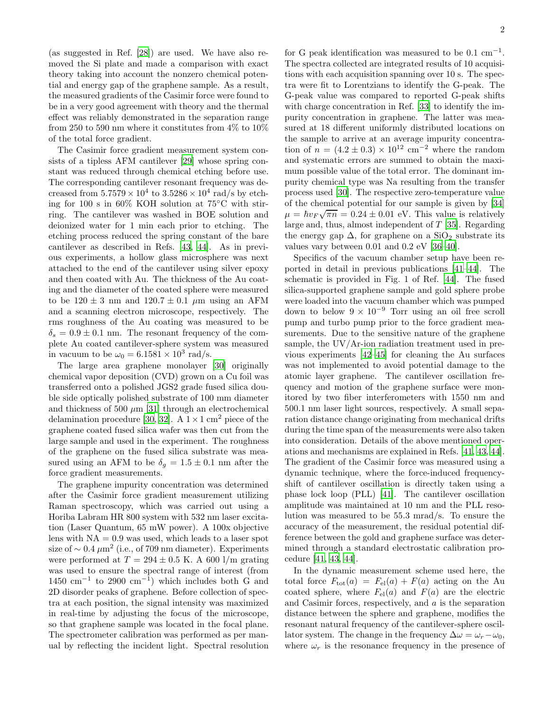(as suggested in Ref. [\[28\]](#page-5-11)) are used. We have also removed the Si plate and made a comparison with exact theory taking into account the nonzero chemical potential and energy gap of the graphene sample. As a result, the measured gradients of the Casimir force were found to be in a very good agreement with theory and the thermal effect was reliably demonstrated in the separation range from 250 to 590 nm where it constitutes from 4% to 10% of the total force gradient.

The Casimir force gradient measurement system consists of a tipless AFM cantilever [\[29\]](#page-5-12) whose spring constant was reduced through chemical etching before use. The corresponding cantilever resonant frequency was decreased from  $5.7579 \times 10^4$  to  $3.5286 \times 10^4$  rad/s by etching for 100 s in 60% KOH solution at 75◦C with stirring. The cantilever was washed in BOE solution and deionized water for 1 min each prior to etching. The etching process reduced the spring constant of the bare cantilever as described in Refs. [\[43](#page-5-13), [44\]](#page-5-14). As in previous experiments, a hollow glass microsphere was next attached to the end of the cantilever using silver epoxy and then coated with Au. The thickness of the Au coating and the diameter of the coated sphere were measured to be  $120 \pm 3$  nm and  $120.7 \pm 0.1$   $\mu$ m using an AFM and a scanning electron microscope, respectively. The rms roughness of the Au coating was measured to be  $\delta_s = 0.9 \pm 0.1$  nm. The resonant frequency of the complete Au coated cantilever-sphere system was measured in vacuum to be  $\omega_0 = 6.1581 \times 10^3$  rad/s.

The large area graphene monolayer [\[30](#page-5-15)] originally chemical vapor deposition (CVD) grown on a Cu foil was transferred onto a polished JGS2 grade fused silica double side optically polished substrate of 100 mm diameter and thickness of 500  $\mu$ m [\[31\]](#page-5-16) through an electrochemical delamination procedure [\[30,](#page-5-15) [32](#page-5-17)]. A  $1 \times 1$  cm<sup>2</sup> piece of the graphene coated fused silica wafer was then cut from the large sample and used in the experiment. The roughness of the graphene on the fused silica substrate was measured using an AFM to be  $\delta_g = 1.5 \pm 0.1$  nm after the force gradient measurements.

The graphene impurity concentration was determined after the Casimir force gradient measurement utilizing Raman spectroscopy, which was carried out using a Horiba Labram HR 800 system with 532 nm laser excitation (Laser Quantum, 65 mW power). A 100x objective lens with  $NA = 0.9$  was used, which leads to a laser spot size of  $\sim 0.4 \ \mu \text{m}^2$  (i.e., of 709 nm diameter). Experiments were performed at  $T = 294 \pm 0.5$  K. A 600 l/m grating was used to ensure the spectral range of interest (from  $1450 \text{ cm}^{-1}$  to 2900 cm<sup>-1</sup>) which includes both G and 2D disorder peaks of graphene. Before collection of spectra at each position, the signal intensity was maximized in real-time by adjusting the focus of the microscope, so that graphene sample was located in the focal plane. The spectrometer calibration was performed as per manual by reflecting the incident light. Spectral resolution

for G peak identification was measured to be  $0.1 \text{ cm}^{-1}$ . The spectra collected are integrated results of 10 acquisitions with each acquisition spanning over 10 s. The spectra were fit to Lorentzians to identify the G-peak. The G-peak value was compared to reported G-peak shifts with charge concentration in Ref. [\[33](#page-5-18)] to identify the impurity concentration in graphene. The latter was measured at 18 different uniformly distributed locations on the sample to arrive at an average impurity concentration of  $n = (4.2 \pm 0.3) \times 10^{12}$  cm<sup>-2</sup> where the random and systematic errors are summed to obtain the maximum possible value of the total error. The dominant impurity chemical type was Na resulting from the transfer process used [\[30\]](#page-5-15). The respective zero-temperature value of the chemical potential for our sample is given by [\[34](#page-5-19)]  $\mu = \hbar v_F \sqrt{\pi n} = 0.24 \pm 0.01$  eV. This value is relatively large and, thus, almost independent of T [\[35\]](#page-5-20). Regarding the energy gap  $\Delta$ , for graphene on a SiO<sub>2</sub> substrate its values vary between 0.01 and 0.2 eV [\[36](#page-5-21)[–40\]](#page-5-22).

Specifics of the vacuum chamber setup have been reported in detail in previous publications [\[41](#page-5-23)[–44\]](#page-5-14). The schematic is provided in Fig. 1 of Ref. [\[44\]](#page-5-14). The fused silica-supported graphene sample and gold sphere probe were loaded into the vacuum chamber which was pumped down to below  $9 \times 10^{-9}$  Torr using an oil free scroll pump and turbo pump prior to the force gradient measurements. Due to the sensitive nature of the graphene sample, the UV/Ar-ion radiation treatment used in previous experiments [\[42](#page-5-24)[–45\]](#page-5-25) for cleaning the Au surfaces was not implemented to avoid potential damage to the atomic layer graphene. The cantilever oscillation frequency and motion of the graphene surface were monitored by two fiber interferometers with 1550 nm and 500.1 nm laser light sources, respectively. A small separation distance change originating from mechanical drifts during the time span of the measurements were also taken into consideration. Details of the above mentioned operations and mechanisms are explained in Refs. [\[41,](#page-5-23) [43](#page-5-13), [44\]](#page-5-14). The gradient of the Casimir force was measured using a dynamic technique, where the force-induced frequencyshift of cantilever oscillation is directly taken using a phase lock loop (PLL) [\[41\]](#page-5-23). The cantilever oscillation amplitude was maintained at 10 nm and the PLL resolution was measured to be 55.3 mrad/s. To ensure the accuracy of the measurement, the residual potential difference between the gold and graphene surface was determined through a standard electrostatic calibration procedure [\[41](#page-5-23), [43,](#page-5-13) [44](#page-5-14)].

In the dynamic measurement scheme used here, the total force  $F_{\text{tot}}(a) = F_{\text{el}}(a) + F(a)$  acting on the Au coated sphere, where  $F_{el}(a)$  and  $F(a)$  are the electric and Casimir forces, respectively, and a is the separation distance between the sphere and graphene, modifies the resonant natural frequency of the cantilever-sphere oscillator system. The change in the frequency  $\Delta \omega = \omega_r - \omega_0$ , where  $\omega_r$  is the resonance frequency in the presence of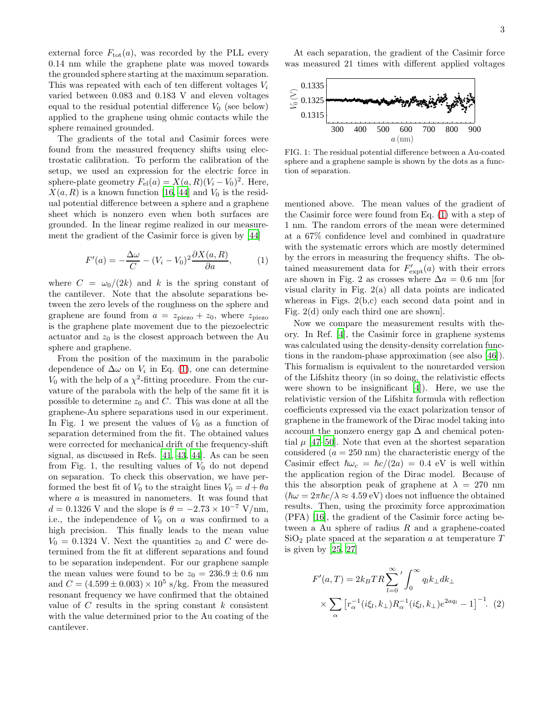external force  $F_{\text{tot}}(a)$ , was recorded by the PLL every 0.14 nm while the graphene plate was moved towards the grounded sphere starting at the maximum separation. This was repeated with each of ten different voltages  $V_i$ varied between 0.083 and 0.183 V and eleven voltages equal to the residual potential difference  $V_0$  (see below) applied to the graphene using ohmic contacts while the sphere remained grounded.

The gradients of the total and Casimir forces were found from the measured frequency shifts using electrostatic calibration. To perform the calibration of the setup, we used an expression for the electric force in sphere-plate geometry  $F_{el}(a) = X(a, R)(V_i - V_0)^2$ . Here,  $X(a, R)$  is a known function [\[16,](#page-5-6) [44](#page-5-14)] and  $V_0$  is the residual potential difference between a sphere and a graphene sheet which is nonzero even when both surfaces are grounded. In the linear regime realized in our measurement the gradient of the Casimir force is given by [\[44\]](#page-5-14)

<span id="page-2-0"></span>
$$
F'(a) = -\frac{\Delta \omega}{C} - (V_i - V_0)^2 \frac{\partial X(a, R)}{\partial a}, \quad (1)
$$

where  $C = \omega_0/(2k)$  and k is the spring constant of the cantilever. Note that the absolute separations between the zero levels of the roughness on the sphere and graphene are found from  $a = z_{\text{piezo}} + z_0$ , where  $z_{\text{piezo}}$ is the graphene plate movement due to the piezoelectric actuator and  $z_0$  is the closest approach between the Au sphere and graphene.

From the position of the maximum in the parabolic dependence of  $\Delta\omega$  on  $V_i$  in Eq. [\(1\)](#page-2-0), one can determine  $V_0$  with the help of a  $\chi^2$ -fitting procedure. From the curvature of the parabola with the help of the same fit it is possible to determine  $z_0$  and C. This was done at all the graphene-Au sphere separations used in our experiment. In Fig. 1 we present the values of  $V_0$  as a function of separation determined from the fit. The obtained values were corrected for mechanical drift of the frequency-shift signal, as discussed in Refs. [\[41,](#page-5-23) [43,](#page-5-13) [44](#page-5-14)]. As can be seen from Fig. 1, the resulting values of  $V_0$  do not depend on separation. To check this observation, we have performed the best fit of  $V_0$  to the straight lines  $V_0 = d + \theta a$ where  $a$  is measured in nanometers. It was found that  $d = 0.1326$  V and the slope is  $\theta = -2.73 \times 10^{-7}$  V/nm, i.e., the independence of  $V_0$  on a was confirmed to a high precision. This finally leads to the mean value  $V_0 = 0.1324$  V. Next the quantities  $z_0$  and C were determined from the fit at different separations and found to be separation independent. For our graphene sample the mean values were found to be  $z_0 = 236.9 \pm 0.6$  nm and  $C = (4.599 \pm 0.003) \times 10^5$  s/kg. From the measured resonant frequency we have confirmed that the obtained value of  $C$  results in the spring constant  $k$  consistent with the value determined prior to the Au coating of the cantilever.

At each separation, the gradient of the Casimir force was measured 21 times with different applied voltages



FIG. 1: The residual potential difference between a Au-coated sphere and a graphene sample is shown by the dots as a function of separation.

mentioned above. The mean values of the gradient of the Casimir force were found from Eq. [\(1\)](#page-2-0) with a step of 1 nm. The random errors of the mean were determined at a 67% confidence level and combined in quadrature with the systematic errors which are mostly determined by the errors in measuring the frequency shifts. The obtained measurement data for  $F'_{\text{expt}}(a)$  with their errors are shown in Fig. 2 as crosses where  $\Delta a = 0.6$  nm [for visual clarity in Fig. 2(a) all data points are indicated whereas in Figs.  $2(b,c)$  each second data point and in Fig. 2(d) only each third one are shown].

Now we compare the measurement results with theory. In Ref. [\[4](#page-4-2)], the Casimir force in graphene systems was calculated using the density-density correlation functions in the random-phase approximation (see also [\[46\]](#page-5-26)). This formalism is equivalent to the nonretarded version of the Lifshitz theory (in so doing, the relativistic effects were shown to be insignificant [\[4\]](#page-4-2)). Here, we use the relativistic version of the Lifshitz formula with reflection coefficients expressed via the exact polarization tensor of graphene in the framework of the Dirac model taking into account the nonzero energy gap  $\Delta$  and chemical potential  $\mu$  [\[47](#page-5-27)[–50\]](#page-5-28). Note that even at the shortest separation considered  $(a = 250 \text{ nm})$  the characteristic energy of the Casimir effect  $\hbar\omega_c = \hbar c/(2a) = 0.4$  eV is well within the application region of the Dirac model. Because of this the absorption peak of graphene at  $\lambda = 270$  nm  $(\hbar\omega = 2\pi\hbar c/\lambda \approx 4.59 \text{ eV})$  does not influence the obtained results. Then, using the proximity force approximation (PFA) [\[16\]](#page-5-6), the gradient of the Casimir force acting between a Au sphere of radius  $R$  and a graphene-coated  $\text{SiO}_2$  plate spaced at the separation a at temperature T is given by [\[25,](#page-5-8) [27\]](#page-5-10)

<span id="page-2-1"></span>
$$
F'(a,T) = 2k_B TR \sum_{l=0}^{\infty} ' \int_0^{\infty} q_l k_{\perp} dk_{\perp}
$$
  
 
$$
\times \sum_{\alpha} [r_{\alpha}^{-1}(i\xi_l, k_{\perp}) R_{\alpha}^{-1}(i\xi_l, k_{\perp}) e^{2aq_l} - 1]^{-1}.
$$
 (2)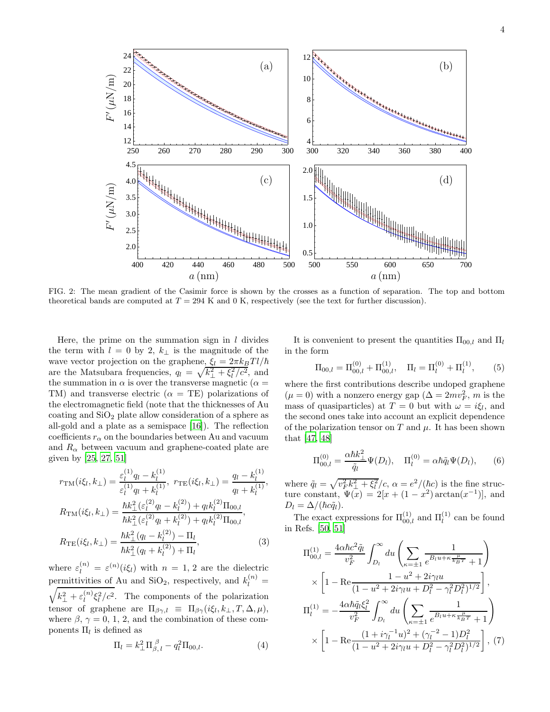

FIG. 2: The mean gradient of the Casimir force is shown by the crosses as a function of separation. The top and bottom theoretical bands are computed at  $T = 294$  K and 0 K, respectively (see the text for further discussion).

Here, the prime on the summation sign in  $l$  divides the term with  $l = 0$  by 2,  $k_{\perp}$  is the magnitude of the wave vector projection on the graphene,  $\xi_l = 2\pi k_B T l/\hbar$ are the Matsubara frequencies,  $q_l = \sqrt{k_\perp^2 + \xi_l^2/c^2}$ , and the summation in  $\alpha$  is over the transverse magnetic ( $\alpha =$ TM) and transverse electric  $(\alpha = TE)$  polarizations of the electromagnetic field (note that the thicknesses of Au coating and  $SiO<sub>2</sub>$  plate allow consideration of a sphere as all-gold and a plate as a semispace [\[16\]](#page-5-6)). The reflection coefficients  $r_{\alpha}$  on the boundaries between Au and vacuum and  $R_{\alpha}$  between vacuum and graphene-coated plate are given by [\[25,](#page-5-8) [27,](#page-5-10) [51\]](#page-5-29)

$$
r_{\rm TM}(i\xi_l, k_{\perp}) = \frac{\varepsilon_l^{(1)}q_l - k_l^{(1)}}{\varepsilon_l^{(1)}q_l + k_l^{(1)}}, \ r_{\rm TE}(i\xi_l, k_{\perp}) = \frac{q_l - k_l^{(1)}}{q_l + k_l^{(1)}},
$$
  
\n
$$
R_{\rm TM}(i\xi_l, k_{\perp}) = \frac{\hbar k_{\perp}^2 (\varepsilon_l^{(2)}q_l - k_l^{(2)}) + q_l k_l^{(2)} \Pi_{00,l}}{\hbar k_{\perp}^2 (\varepsilon_l^{(2)}q_l + k_l^{(2)}) + q_l k_l^{(2)} \Pi_{00,l}},
$$
  
\n
$$
R_{\rm TE}(i\xi_l, k_{\perp}) = \frac{\hbar k_{\perp}^2 (q_l - k_l^{(2)}) - \Pi_l}{\hbar k_{\perp}^2 (q_l + k_l^{(2)}) + \Pi_l}, \tag{3}
$$

where  $\varepsilon_l^{(n)} = \varepsilon^{(n)}(i\xi_l)$  with  $n = 1, 2$  are the dielectric permittivities of Au and SiO<sub>2</sub>, respectively, and  $k_l^{(n)}$  =  $\sqrt{k_{\perp}^2 + \varepsilon_l^{(n)}}$  $\int_l^{(n)} \xi_l^2/c^2$ . The components of the polarization tensor of graphene are  $\Pi_{\beta\gamma,l} \equiv \Pi_{\beta\gamma}(i\xi_l, k_\perp, T, \Delta, \mu)$ , where  $\beta$ ,  $\gamma = 0, 1, 2$ , and the combination of these components  $\Pi_l$  is defined as

$$
\Pi_l = k_\perp^2 \Pi_{\beta,\,l}^{\,\beta} - q_l^2 \Pi_{00,l}.\tag{4}
$$

It is convenient to present the quantities  $\Pi_{00,l}$  and  $\Pi_l$ in the form

$$
\Pi_{00,l} = \Pi_{00,l}^{(0)} + \Pi_{00,l}^{(1)}, \quad \Pi_l = \Pi_l^{(0)} + \Pi_l^{(1)}, \tag{5}
$$

where the first contributions describe undoped graphene  $(\mu = 0)$  with a nonzero energy gap  $(\Delta = 2mv_F^2, m$  is the mass of quasiparticles) at  $T = 0$  but with  $\omega = i \xi_l$ , and the second ones take into account an explicit dependence of the polarization tensor on T and  $\mu$ . It has been shown that [\[47](#page-5-27), [48](#page-5-30)]

$$
\Pi_{00,l}^{(0)} = \frac{\alpha \hbar k_{\perp}^2}{\tilde{q}_l} \Psi(D_l), \quad \Pi_l^{(0)} = \alpha \hbar \tilde{q}_l \Psi(D_l), \qquad (6)
$$

where  $\tilde{q}_l = \sqrt{v_F^2 k_\perp^2 + \xi_l^2}/c$ ,  $\alpha = e^2/(\hbar c)$  is the fine structure constant,  $\Psi(x) = 2[x + (1 - x^2) \arctan(x^{-1})],$  and  $D_l = \Delta/(\hbar c \tilde{q}_l).$ 

The exact expressions for  $\Pi_{00,l}^{(1)}$  and  $\Pi_l^{(1)}$  can be found in Refs. [\[50](#page-5-28), [51](#page-5-29)]

<span id="page-3-0"></span>
$$
\Pi_{00,l}^{(1)} = \frac{4\alpha\hbar c^2 \tilde{q}_l}{v_F^2} \int_{D_l}^{\infty} du \left( \sum_{\kappa=\pm 1} \frac{1}{e^{B_l u + \kappa \frac{\mu}{k_B T}} + 1} \right)
$$
  
 
$$
\times \left[ 1 - \text{Re} \frac{1 - u^2 + 2i\gamma_l u}{(1 - u^2 + 2i\gamma_l u + D_l^2 - \gamma_l^2 D_l^2)^{1/2}} \right],
$$
  
\n
$$
\Pi_l^{(1)} = -\frac{4\alpha\hbar \tilde{q}_l \xi_l^2}{v_F^2} \int_{D_l}^{\infty} du \left( \sum_{\kappa=\pm 1} \frac{1}{e^{B_l u + \kappa \frac{\mu}{k_B T}} + 1} \right)
$$
  
\n
$$
\times \left[ 1 - \text{Re} \frac{(1 + i\gamma_l^{-1} u)^2 + (\gamma_l^{-2} - 1)D_l^2}{(1 - u^2 + 2i\gamma_l u + D_l^2 - \gamma_l^2 D_l^2)^{1/2}} \right], (7)
$$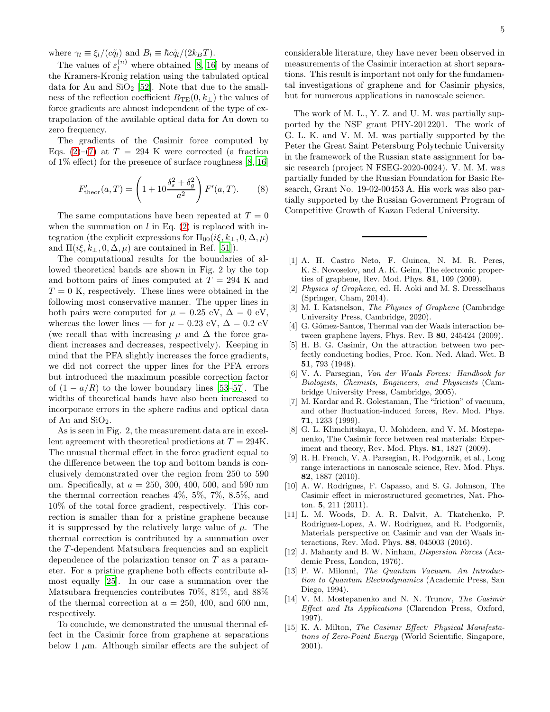where  $\gamma_l \equiv \xi_l/(c\tilde{q}_l)$  and  $B_l \equiv \hbar c\tilde{q}_l/(2k_BT)$ .

The values of  $\varepsilon_l^{(n)}$  where obtained [\[8,](#page-4-8) [16\]](#page-5-6) by means of the Kramers-Kronig relation using the tabulated optical data for Au and  $SiO<sub>2</sub>$  [\[52](#page-5-31)]. Note that due to the smallness of the reflection coefficient  $R_{TE}(0, k_{\perp})$  the values of force gradients are almost independent of the type of extrapolation of the available optical data for Au down to zero frequency.

The gradients of the Casimir force computed by Eqs. [\(2\)](#page-2-1)–[\(7\)](#page-3-0) at  $T = 294$  K were corrected (a fraction of 1% effect) for the presence of surface roughness [\[8,](#page-4-8) [16](#page-5-6)]

$$
F'_{\text{theor}}(a,T) = \left(1 + 10 \frac{\delta_s^2 + \delta_g^2}{a^2}\right) F'(a,T). \tag{8}
$$

The same computations have been repeated at  $T = 0$ when the summation on  $l$  in Eq. [\(2\)](#page-2-1) is replaced with integration (the explicit expressions for  $\Pi_{00}(i\xi, k_{\perp}, 0, \Delta, \mu)$ and  $\Pi(i\xi, k_\perp, 0, \Delta, \mu)$  are contained in Ref. [\[51](#page-5-29)]).

The computational results for the boundaries of allowed theoretical bands are shown in Fig. 2 by the top and bottom pairs of lines computed at  $T = 294$  K and  $T = 0$  K, respectively. These lines were obtained in the following most conservative manner. The upper lines in both pairs were computed for  $\mu = 0.25$  eV,  $\Delta = 0$  eV, whereas the lower lines — for  $\mu = 0.23$  eV,  $\Delta = 0.2$  eV (we recall that with increasing  $\mu$  and  $\Delta$  the force gradient increases and decreases, respectively). Keeping in mind that the PFA slightly increases the force gradients, we did not correct the upper lines for the PFA errors but introduced the maximum possible correction factor of  $(1 - a/R)$  to the lower boundary lines [\[53](#page-5-32)[–57\]](#page-6-0). The widths of theoretical bands have also been increased to incorporate errors in the sphere radius and optical data of Au and  $SiO<sub>2</sub>$ .

As is seen in Fig. 2, the measurement data are in excellent agreement with theoretical predictions at  $T = 294$ K. The unusual thermal effect in the force gradient equal to the difference between the top and bottom bands is conclusively demonstrated over the region from 250 to 590 nm. Specifically, at  $a = 250, 300, 400, 500,$  and 590 nm the thermal correction reaches 4%, 5%, 7%, 8.5%, and 10% of the total force gradient, respectively. This correction is smaller than for a pristine graphene because it is suppressed by the relatively large value of  $\mu$ . The thermal correction is contributed by a summation over the T -dependent Matsubara frequencies and an explicit dependence of the polarization tensor on  $T$  as a parameter. For a pristine graphene both effects contribute almost equally [\[25\]](#page-5-8). In our case a summation over the Matsubara frequencies contributes 70%, 81%, and 88% of the thermal correction at  $a = 250, 400,$  and 600 nm, respectively.

To conclude, we demonstrated the unusual thermal effect in the Casimir force from graphene at separations below 1  $\mu$ m. Although similar effects are the subject of considerable literature, they have never been observed in measurements of the Casimir interaction at short separations. This result is important not only for the fundamental investigations of graphene and for Casimir physics, but for numerous applications in nanoscale science.

The work of M. L., Y. Z. and U. M. was partially supported by the NSF grant PHY-2012201. The work of G. L. K. and V. M. M. was partially supported by the Peter the Great Saint Petersburg Polytechnic University in the framework of the Russian state assignment for basic research (project N FSEG-2020-0024). V. M. M. was partially funded by the Russian Foundation for Basic Research, Grant No. 19-02-00453 A. His work was also partially supported by the Russian Government Program of Competitive Growth of Kazan Federal University.

- <span id="page-4-0"></span>[1] A. H. Castro Neto, F. Guinea, N. M. R. Peres, K. S. Novoselov, and A. K. Geim, The electronic properties of graphene, Rev. Mod. Phys. 81, 109 (2009).
- [2] Physics of Graphene, ed. H. Aoki and M. S. Dresselhaus (Springer, Cham, 2014).
- <span id="page-4-1"></span>[3] M. I. Katsnelson, The Physics of Graphene (Cambridge University Press, Cambridge, 2020).
- <span id="page-4-2"></span>[4] G. Gómez-Santos, Thermal van der Waals interaction between graphene layers, Phys. Rev. B 80, 245424 (2009).
- <span id="page-4-3"></span>[5] H. B. G. Casimir, On the attraction between two perfectly conducting bodies, Proc. Kon. Ned. Akad. Wet. B 51, 793 (1948).
- <span id="page-4-4"></span>[6] V. A. Parsegian, Van der Waals Forces: Handbook for Biologists, Chemists, Engineers, and Physicists (Cambridge University Press, Cambridge, 2005).
- <span id="page-4-5"></span>[7] M. Kardar and R. Golestanian, The "friction" of vacuum, and other fluctuation-induced forces, Rev. Mod. Phys. 71, 1233 (1999).
- <span id="page-4-8"></span>[8] G. L. Klimchitskaya, U. Mohideen, and V. M. Mostepanenko, The Casimir force between real materials: Experiment and theory, Rev. Mod. Phys. 81, 1827 (2009).
- [9] R. H. French, V. A. Parsegian, R. Podgornik, et al., Long range interactions in nanoscale science, Rev. Mod. Phys. 82, 1887 (2010).
- [10] A. W. Rodrigues, F. Capasso, and S. G. Johnson, The Casimir effect in microstructured geometries, Nat. Photon. 5, 211 (2011).
- <span id="page-4-6"></span>[11] L. M. Woods, D. A. R. Dalvit, A. Tkatchenko, P. Rodriguez-Lopez, A. W. Rodriguez, and R. Podgornik, Materials perspective on Casimir and van der Waals interactions, Rev. Mod. Phys. 88, 045003 (2016).
- <span id="page-4-7"></span>[12] J. Mahanty and B. W. Ninham, *Dispersion Forces* (Academic Press, London, 1976).
- [13] P. W. Milonni, The Quantum Vacuum. An Introduction to Quantum Electrodynamics (Academic Press, San Diego, 1994).
- [14] V. M. Mostepanenko and N. N. Trunov, The Casimir Effect and Its Applications (Clarendon Press, Oxford, 1997).
- [15] K. A. Milton, The Casimir Effect: Physical Manifestations of Zero-Point Energy (World Scientific, Singapore, 2001).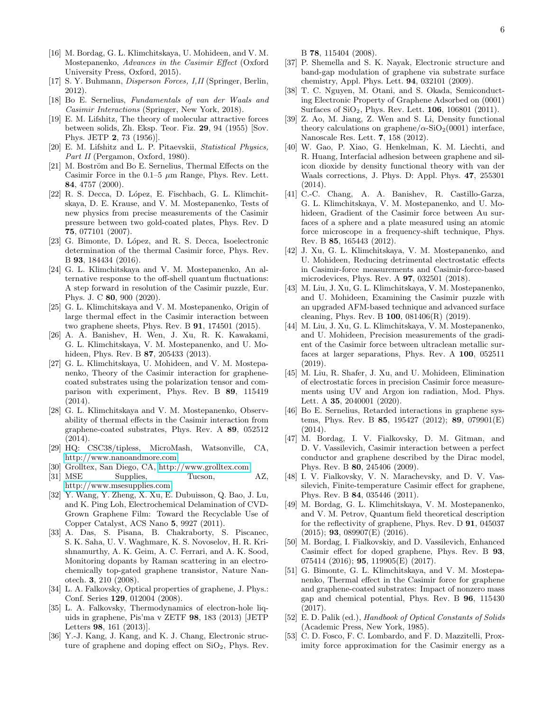- <span id="page-5-6"></span>[17] S. Y. Buhmann, Disperson Forces, I,II (Springer, Berlin, 2012).
- <span id="page-5-0"></span>[18] Bo E. Sernelius, Fundamentals of van der Waals and Casimir Interactions (Springer, New York, 2018).
- <span id="page-5-1"></span>[19] E. M. Lifshitz, The theory of molecular attractive forces between solids, Zh. Eksp. Teor. Fiz. 29, 94 (1955) [Sov. Phys. JETP 2, 73 (1956)].
- <span id="page-5-2"></span>[20] E. M. Lifshitz and L. P. Pitaevskii, Statistical Physics, Part II (Pergamon, Oxford, 1980).
- <span id="page-5-3"></span>[21] M. Boström and Bo E. Sernelius, Thermal Effects on the Casimir Force in the  $0.1-5 \mu m$  Range, Phys. Rev. Lett. 84, 4757 (2000).
- <span id="page-5-4"></span>[22] R. S. Decca, D. López, E. Fischbach, G. L. Klimchitskaya, D. E. Krause, and V. M. Mostepanenko, Tests of new physics from precise measurements of the Casimir pressure between two gold-coated plates, Phys. Rev. D 75, 077101 (2007).
- <span id="page-5-5"></span>[23] G. Bimonte, D. López, and R. S. Decca, Isoelectronic determination of the thermal Casimir force, Phys. Rev. B 93, 184434 (2016).
- <span id="page-5-7"></span>[24] G. L. Klimchitskaya and V. M. Mostepanenko, An alternative response to the off-shell quantum fluctuations: A step forward in resolution of the Casimir puzzle, Eur. Phys. J. C 80, 900 (2020).
- <span id="page-5-8"></span>[25] G. L. Klimchitskaya and V. M. Mostepanenko, Origin of large thermal effect in the Casimir interaction between two graphene sheets, Phys. Rev. B 91, 174501 (2015).
- <span id="page-5-9"></span>[26] A. A. Banishev, H. Wen, J. Xu, R. K. Kawakami, G. L. Klimchitskaya, V. M. Mostepanenko, and U. Mohideen, Phys. Rev. B 87, 205433 (2013).
- <span id="page-5-10"></span>[27] G. L. Klimchitskaya, U. Mohideen, and V. M. Mostepanenko, Theory of the Casimir interaction for graphenecoated substrates using the polarization tensor and comparison with experiment, Phys. Rev. B 89, 115419 (2014).
- <span id="page-5-11"></span>[28] G. L. Klimchitskaya and V. M. Mostepanenko, Observability of thermal effects in the Casimir interaction from graphene-coated substrates, Phys. Rev. A 89, 052512 (2014).
- <span id="page-5-12"></span>[29] HQ: CSC38/tipless, MicroMash, Watsonville, CA, <http://www.nanoandmore.com>
- <span id="page-5-15"></span>[30] Grolltex, San Diego, CA,<http://www.grolltex.com>
- <span id="page-5-16"></span>[31] MSE Supplies, Tucson, AZ, <http://www.msesupplies.com>
- <span id="page-5-17"></span>[32] Y. Wang, Y. Zheng, X. Xu, E. Dubuisson, Q. Bao, J. Lu, and K. Ping Loh, Electrochemical Delamination of CVD-Grown Graphene Film: Toward the Recyclable Use of Copper Catalyst, ACS Nano 5, 9927 (2011).
- <span id="page-5-18"></span>[33] A. Das, S. Pisana, B. Chakraborty, S. Piscanec, S. K. Saha, U. V. Waghmare, K. S. Novoselov, H. R. Krishnamurthy, A. K. Geim, A. C. Ferrari, and A. K. Sood, Monitoring dopants by Raman scattering in an electrochemically top-gated graphene transistor, Nature Nanotech. 3, 210 (2008).
- <span id="page-5-19"></span>[34] L. A. Falkovsky, Optical properties of graphene, J. Phys.: Conf. Series 129, 012004 (2008).
- <span id="page-5-20"></span>[35] L. A. Falkovsky, Thermodynamics of electron-hole liquids in graphene, Pis'ma v ZETF 98, 183 (2013) [JETP Letters 98, 161 (2013)].
- <span id="page-5-21"></span>[36] Y.-J. Kang, J. Kang, and K. J. Chang, Electronic structure of graphene and doping effect on  $SiO<sub>2</sub>$ , Phys. Rev.

B 78, 115404 (2008).

- [37] P. Shemella and S. K. Nayak, Electronic structure and band-gap modulation of graphene via substrate surface chemistry, Appl. Phys. Lett. 94, 032101 (2009).
- [38] T. C. Nguyen, M. Otani, and S. Okada, Semiconducting Electronic Property of Graphene Adsorbed on (0001) Surfaces of SiO2, Phys. Rev. Lett. 106, 106801 (2011).
- [39] Z. Ao, M. Jiang, Z. Wen and S. Li, Density functional theory calculations on graphene/ $\alpha$ -SiO<sub>2</sub>(0001) interface, Nanoscale Res. Lett. 7, 158 (2012).
- <span id="page-5-22"></span>[40] W. Gao, P. Xiao, G. Henkelman, K. M. Liechti, and R. Huang, Interfacial adhesion between graphene and silicon dioxide by density functional theory with van der Waals corrections, J. Phys. D: Appl. Phys. 47, 255301 (2014).
- <span id="page-5-23"></span>[41] C.-C. Chang, A. A. Banishev, R. Castillo-Garza, G. L. Klimchitskaya, V. M. Mostepanenko, and U. Mohideen, Gradient of the Casimir force between Au surfaces of a sphere and a plate measured using an atomic force microscope in a frequency-shift technique, Phys. Rev. B 85, 165443 (2012).
- <span id="page-5-24"></span>[42] J. Xu, G. L. Klimchitskaya, V. M. Mostepanenko, and U. Mohideen, Reducing detrimental electrostatic effects in Casimir-force measurements and Casimir-force-based microdevices, Phys. Rev. A 97, 032501 (2018).
- <span id="page-5-13"></span>[43] M. Liu, J. Xu, G. L. Klimchitskaya, V. M. Mostepanenko, and U. Mohideen, Examining the Casimir puzzle with an upgraded AFM-based technique and advanced surface cleaning, Phys. Rev. B 100, 081406(R) (2019).
- <span id="page-5-14"></span>[44] M. Liu, J. Xu, G. L. Klimchitskaya, V. M. Mostepanenko, and U. Mohideen, Precision measurements of the gradient of the Casimir force between ultraclean metallic surfaces at larger separations, Phys. Rev. A 100, 052511 (2019).
- <span id="page-5-25"></span>[45] M. Liu, R. Shafer, J. Xu, and U. Mohideen, Elimination of electrostatic forces in precision Casimir force measurements using UV and Argon ion radiation, Mod. Phys. Lett. A 35, 2040001 (2020).
- <span id="page-5-26"></span>[46] Bo E. Sernelius, Retarded interactions in graphene systems, Phys. Rev. B 85, 195427 (2012); 89, 079901(E) (2014).
- <span id="page-5-27"></span>[47] M. Bordag, I. V. Fialkovsky, D. M. Gitman, and D. V. Vassilevich, Casimir interaction between a perfect conductor and graphene described by the Dirac model, Phys. Rev. B 80, 245406 (2009).
- <span id="page-5-30"></span>[48] I. V. Fialkovsky, V. N. Marachevsky, and D. V. Vassilevich, Finite-temperature Casimir effect for graphene, Phys. Rev. B 84, 035446 (2011).
- [49] M. Bordag, G. L. Klimchitskaya, V. M. Mostepanenko, and V. M. Petrov, Quantum field theoretical description for the reflectivity of graphene, Phys. Rev. D 91, 045037 (2015); 93, 089907(E) (2016).
- <span id="page-5-28"></span>[50] M. Bordag, I. Fialkovskiy, and D. Vassilevich, Enhanced Casimir effect for doped graphene, Phys. Rev. B 93, 075414 (2016); **95**, 119905(E) (2017).
- <span id="page-5-29"></span>[51] G. Bimonte, G. L. Klimchitskaya, and V. M. Mostepanenko, Thermal effect in the Casimir force for graphene and graphene-coated substrates: Impact of nonzero mass gap and chemical potential, Phys. Rev. B 96, 115430 (2017).
- <span id="page-5-31"></span>[52] E. D. Palik (ed.), Handbook of Optical Constants of Solids (Academic Press, New York, 1985).
- <span id="page-5-32"></span>[53] C. D. Fosco, F. C. Lombardo, and F. D. Mazzitelli, Proximity force approximation for the Casimir energy as a